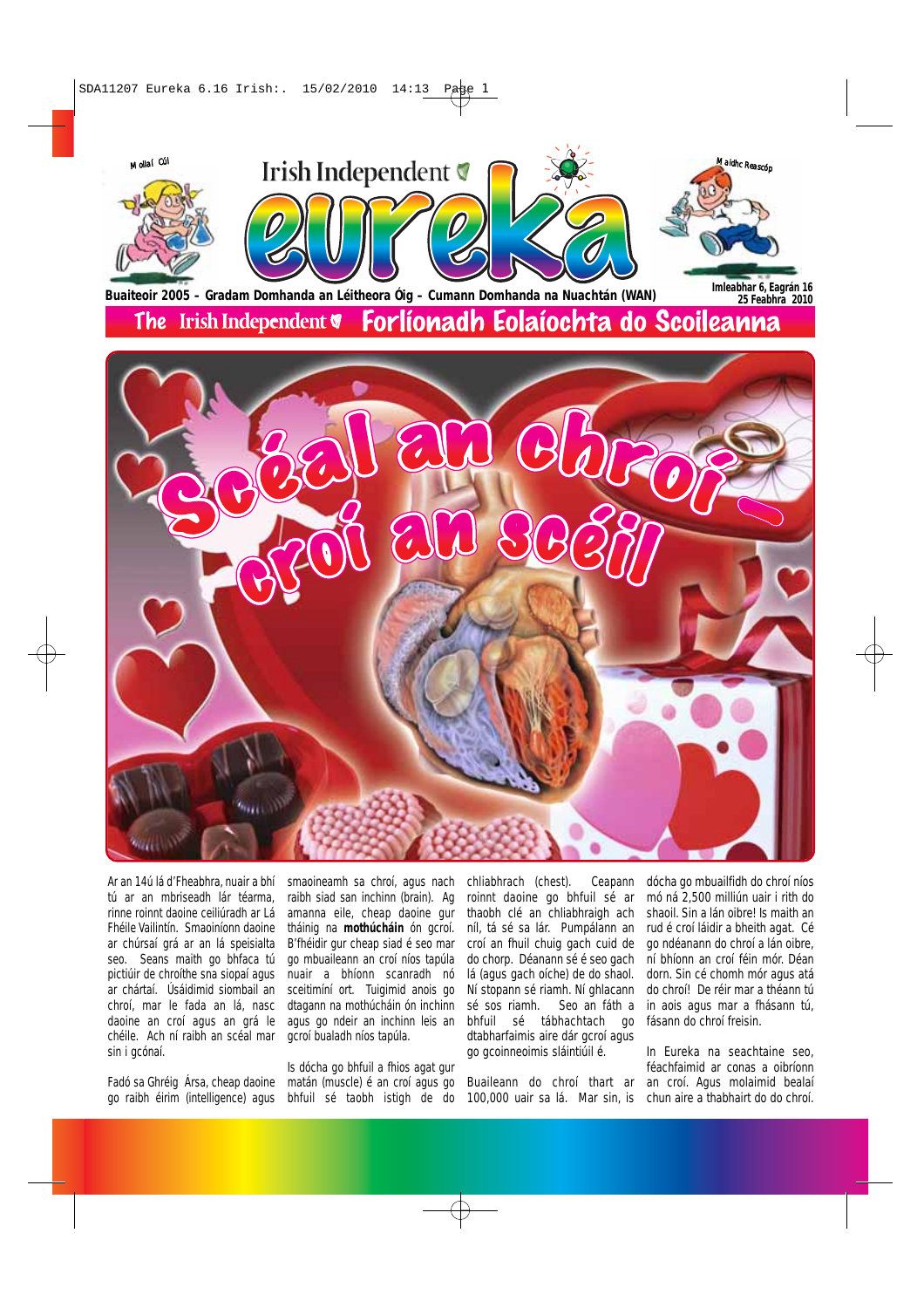

Ar an 14ú lá d'Fheabhra, nuair a bhí tú ar an mbriseadh lár téarma, rinne roinnt daoine ceiliúradh ar Lá Fhéile Vailintín. Smaoiníonn daoine ar chúrsaí grá ar an lá speisialta seo. Seans maith go bhfaca tú pictiúir de chroíthe sna siopaí agus ar chártaí. Úsáidimid siombail an chroí, mar le fada an lá, nasc daoine an croí agus an grá le chéile. Ach ní raibh an scéal mar sin i gcónaí.

Fadó sa Ghréig Ársa, cheap daoine go raibh éirim (intelligence) agus bhfuil sé taobh istigh de do

smaoineamh sa chroí, agus nach raibh siad san inchinn (brain). Ag amanna eile, cheap daoine gur tháinig na **mothúcháin** ón gcroí. B'fhéidir gur cheap siad é seo mar go mbuaileann an croí níos tapúla nuair a bhíonn scanradh nó sceitimíní ort. Tuigimid anois go dtagann na mothúcháin ón inchinn agus go ndeir an inchinn leis an gcroí bualadh níos tapúla.

Is dócha go bhfuil a fhios agat gur matán (muscle) é an croí agus go chliabhrach (chest). Ceapann roinnt daoine go bhfuil sé ar thaobh clé an chliabhraigh ach níl, tá sé sa lár. Pumpálann an croí an fhuil chuig gach cuid de do chorp. Déanann sé é seo gach lá (agus gach oíche) de do shaol. Ní stopann sé riamh. Ní ghlacann sé sos riamh. Seo an fáth a bhfuil sé tábhachtach go dtabharfaimis aire dár gcroí agus go gcoinneoimis sláintiúil é.

Buaileann do chroí thart ar

dócha go mbuailfidh do chroí níos mó ná 2,500 milliún uair i rith do shaoil. Sin a lán oibre! Is maith an rud é croí láidir a bheith agat. Cé go ndéanann do chroí a lán oibre, ní bhíonn an croí féin mór. Déan dorn. Sin cé chomh mór agus atá do chroí! De réir mar a théann tú in aois agus mar a fhásann tú, fásann do chroí freisin.

100,000 uair sa lá. Mar sin, is chun aire a thabhairt do do chroí. In Eureka na seachtaine seo, féachfaimid ar conas a oibríonn an croí. Agus molaimid bealaí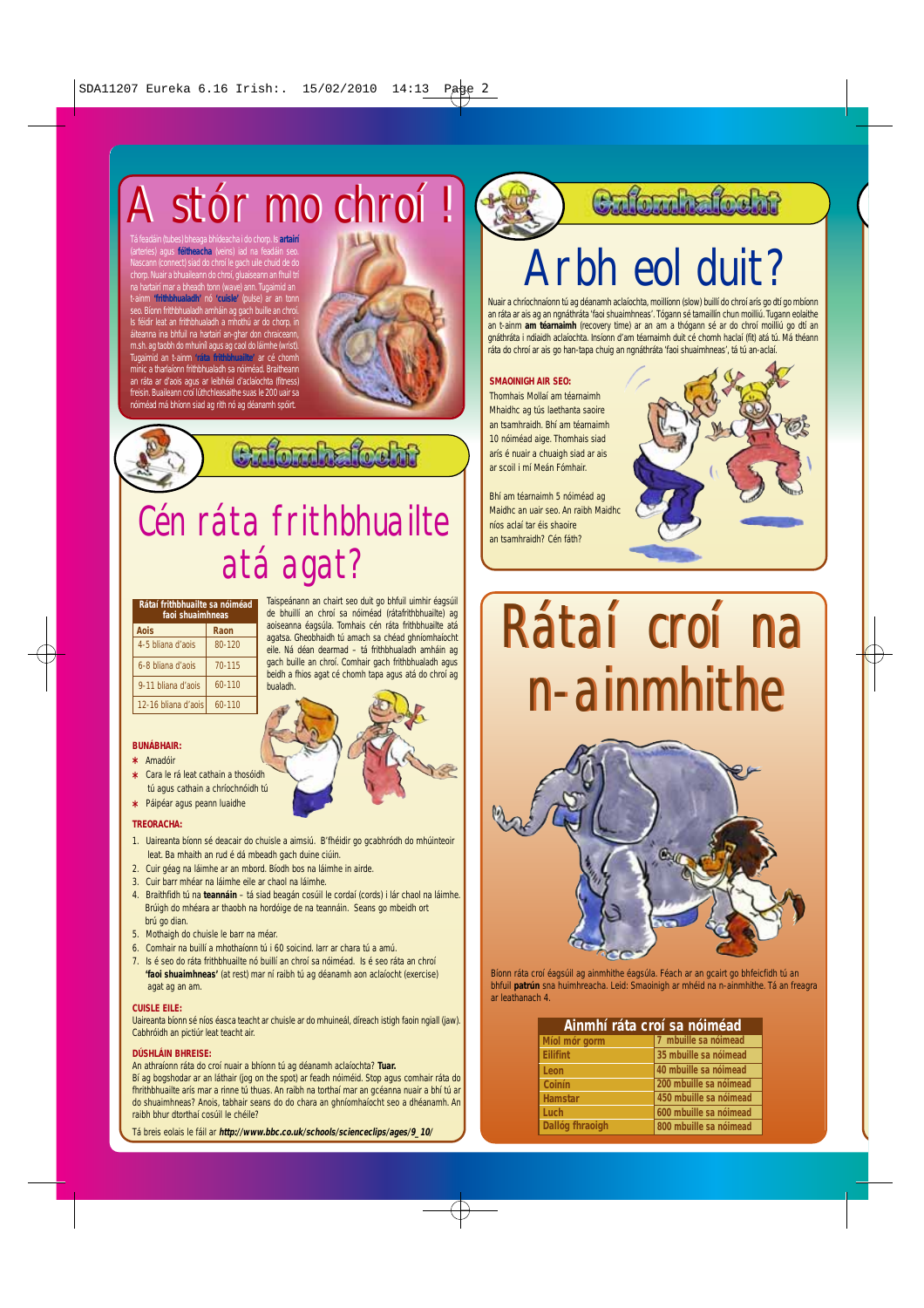## A stór mo chroí ! A stór mo chroí !

Tá feadáin (tubes) bheaga bhídeacha i do chorp. Is **artairí** féitheacha ( Nascann (connect) siad do chroí le gach uile chuid de do chorp. Nuair a bhuaileann do chroí, gluaiseann an fhuil tri<br>na hartairí mar a bheadh tonn (wave) ann. Tugaimid an<br>t-ainm "frithbhualach" nó "cuisle" (pulse) ar an tonn<br>seo. Bíonn frithbhualadh a mháin ag gach buille an chr áiteanna ina bhfuil na hartairí an-ghar don chraiceann, m.sh. ag taobh do mhuiníl agus ag caol do láimhe (wrist). Tugaimid an t-ainm **'ráta frithbhuailte'** ar cé chomh .<br>inic a tharlaíonn frithbhualadh sa nóiméad. Braitheanr

an ráta ar d'aois agus ar leibhéal d'aclaíochta (fitness) freisin. Buaileann croí lúthchleasaithe suas le 200 uair sa ad má bhíonn siad ag rith nó ag déanamh sp



Calendralecto

### Cén ráta frithbhuailte atá agat?

| Rátaí frithbhuailte sa nóiméad<br>faoi shuaimhneas |            |  |
|----------------------------------------------------|------------|--|
| Aois                                               | Raon       |  |
| 4-5 bliana d'aois                                  | $80 - 120$ |  |
| 6-8 bliana d'aois                                  | 70-115     |  |
| 9-11 bliana d'aois                                 | $60 - 110$ |  |
| 12-16 bliana d'aois                                | 60-110     |  |

Taispeánann an chairt seo duit go bhfuil uimhir éagsúil de bhuillí an chroí sa nóiméad (rátafrithbhuailte) ag aoiseanna éagsúla. Tomhais cén ráta frithbhuailte atá agatsa. Gheobhaidh tú amach sa chéad ghníomhaíocht eile. Ná déan dearmad – tá frithbhualadh amháin ag gach buille an chroí. Comhair gach frithbhualadh agus beidh a fhios agat cé chomh tapa agus atá do chroí ag bualadh.

### **BUNÁBHAIR:**

- **\*** Amadóir
- **\*** Cara le rá leat cathain a thosóidh tú agus cathain a chríochnóidh tú
- **\*** Páipéar agus peann luaidhe

#### **TREORACHA:**

- 1. Uaireanta bíonn sé deacair do chuisle a aimsiú. B'fhéidir go gcabhródh do mhúinteoir leat. Ba mhaith an rud é dá mbeadh gach duine ciúin.
- 2. Cuir géag na láimhe ar an mbord. Bíodh bos na láimhe in airde.
- 3. Cuir barr mhéar na láimhe eile ar chaol na láimhe.
- 4. Braithfidh tú na **teannáin** tá siad beagán cosúil le cordaí (cords) i lár chaol na láimhe. Brúigh do mhéara ar thaobh na hordóige de na teannáin. Seans go mbeidh ort brú go dian.
- 5. Mothaigh do chuisle le barr na méar.
- 6. Comhair na buillí a mhothaíonn tú i 60 soicind. Iarr ar chara tú a amú.
- 7. Is é seo do ráta frithbhuailte nó buillí an chroí sa nóiméad. Is é seo ráta an chroí **'faoi shuaimhneas'** (at rest) mar ní raibh tú ag déanamh aon aclaíocht (exercise) agat ag an am.

### **CUISLE EILE:**

Uaireanta bíonn sé níos éasca teacht ar chuisle ar do mhuineál, díreach istigh faoin ngiall (jaw). Cabhróidh an pictiúr leat teacht air.

### **DÚSHLÁIN BHREISE:**

An athraíonn ráta do croí nuair a bhíonn tú ag déanamh aclaíochta? **Tuar.**

Bí ag bogshodar ar an láthair (jog on the spot) ar feadh nóiméid. Stop agus comhair ráta do fhrithbhuailte arís mar a rinne tú thuas. An raibh na torthaí mar an gcéanna nuair a bhí tú ar do shuaimhneas? Anois, tabhair seans do do chara an ghníomhaíocht seo a dhéanamh. An raibh bhur dtorthaí cosúil le chéile?

Tá breis eolais le fáil ar **http://www.bbc.co.uk/schools/scienceclips/ages/9\_10/**

### Culturhaftecht

### rbh eol duit?

Nuair a chríochnaíonn tú ag déanamh aclaíochta, moillíonn (slow) buillí do chroí arís go dtí go mbíonn an ráta ar ais ag an ngnáthráta 'faoi shuaimhneas'. Tógann sé tamaillín chun moilliú. Tugann eolaithe an t-ainm **am téarnaimh** (recovery time) ar an am a thógann sé ar do chroí moilliú go dtí an gnáthráta i ndiaidh aclaíochta. Insíonn d'am téarnaimh duit cé chomh haclaí (fit) atá tú. Má théann ráta do chroí ar ais go han-tapa chuig an ngnáthráta 'faoi shuaimhneas', tá tú an-aclaí.

### **SMAOINIGH AIR SEO:**

Thomhais Mollaí am téarnaimh Mhaidhc ag tús laethanta saoire an tsamhraidh. Bhí am téarnaimh 10 nóiméad aige. Thomhais siad arís é nuair a chuaigh siad ar ais ar scoil i mí Meán Fómhair.

Bhí am téarnaimh 5 nóiméad ag Maidhc an uair seo. An raibh Maidhc níos aclaí tar éis shaoire an tsamhraidh? Cén fáth?



## Rátaí croí na Rátaí croí na n-ainmhithe n-ainmhithe



Bíonn ráta croí éagsúil ag ainmhithe éagsúla. Féach ar an gcairt go bhfeicfidh tú an bhfuil **patrún** sna huimhreacha. Leid: Smaoinigh ar mhéid na n-ainmhithe. Tá an freagra ar leathanach 4.

| Ainmhí ráta croí sa nóiméad |                        |  |  |
|-----------------------------|------------------------|--|--|
| Míol mór gorm               | 7 mbuille sa nóimead   |  |  |
| <b>Eilifint</b>             | 35 mbuille sa nóimead  |  |  |
| Leon                        | 40 mbuille sa nóimead  |  |  |
| Coinín                      | 200 mbuille sa nóimead |  |  |
| <b>Hamstar</b>              | 450 mbuille sa nóimead |  |  |
| Luch                        | 600 mbuille sa nóimead |  |  |
| Dallóg fhraoigh             | 800 mbuille sa nóimead |  |  |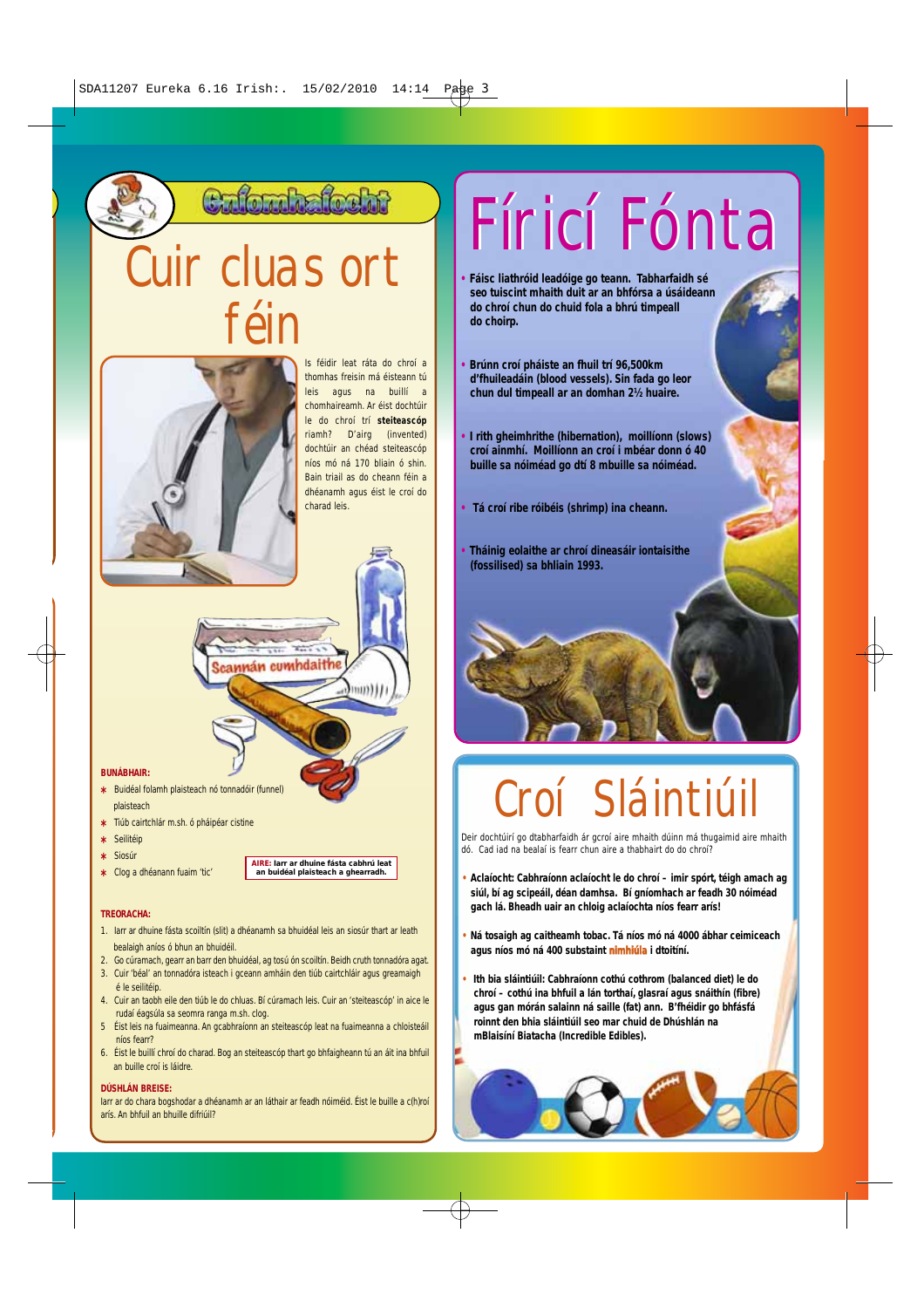Culturhafteht

## uir cluas ort féin



Is féidir leat ráta do chroí a thomhas freisin má éisteann tú leis agus na buillí a chomhaireamh. Ar éist dochtúir le do chroí trí **steiteascóp** riamh? D'airg (invented) dochtúir an chéad steiteascóp níos mó ná 170 bliain ó shin. Bain triail as do cheann féin a dhéanamh agus éist le croí do charad leis.

 $min)$ 

### **BUNÁBHAIR:**

- **\*** Buidéal folamh plaisteach nó tonnadóir (funnel) plaisteach
- **\*** Tiúb cairtchlár m.sh. ó pháipéar cistine
- **\*** Seilitéip
- **\*** Siosúr
- **\*** Clog a dhéanann fuaim 'tic'

### **TREORACHA:**

1. Iarr ar dhuine fásta scoiltín (slit) a dhéanamh sa bhuidéal leis an siosúr thart ar leath bealaigh aníos ó bhun an bhuidéil.

scannán cumhdaithe

**AIRE: Iarr ar dhuine fásta cabhrú leat an buidéal plaisteach a ghearradh.**

- 2. Go cúramach, gearr an barr den bhuidéal, ag tosú ón scoiltín. Beidh cruth tonnadóra agat. 3. Cuir 'béal' an tonnadóra isteach i gceann amháin den tiúb cairtchláir agus greamaigh
- é le seilitéip. 4. Cuir an taobh eile den tiúb le do chluas. Bí cúramach leis. Cuir an 'steiteascóp' in aice le
- rudaí éagsúla sa seomra ranga m.sh. clog. 5 Éist leis na fuaimeanna. An gcabhraíonn an steiteascóp leat na fuaimeanna a chloisteáil
- níos fearr?
- 6. Éist le buillí chroí do charad. Bog an steiteascóp thart go bhfaigheann tú an áit ina bhfuil an buille croí is láidre.

### **DÚSHLÁN BREISE:**

Iarr ar do chara bogshodar a dhéanamh ar an láthair ar feadh nóiméid. Éist le buille a c(h)roí arís. An bhfuil an bhuille difriúil?

## Fíricí Fónta Fíricí Fónta

- **• Fáisc liathróid leadóige go teann. Tabharfaidh sé seo tuiscint mhaith duit ar an bhfórsa a úsáideann do chroí chun do chuid fola a bhrú timpeall do choirp.**
- **• Brúnn croí pháiste an fhuil trí 96,500km d'fhuileadáin (blood vessels). Sin fada go leor chun dul timpeall ar an domhan 2½ huaire.**
- **• I rith gheimhrithe (hibernation), moillíonn (slows) croí ainmhí. Moillíonn an croí i mbéar donn ó 40 buille sa nóiméad go dtí 8 mbuille sa nóiméad.**
- **• Tá croí ribe róibéis (shrimp) ina cheann.**
- **• Tháinig eolaithe ar chroí dineasáir iontaisithe (fossilised) sa bhliain 1993.**

## Croí Sláintiúil

Deir dochtúirí go dtabharfaidh ár gcroí aire mhaith dúinn má thugaimid aire mhaith dó. Cad iad na bealaí is fearr chun aire a thabhairt do do chroí?

- **• Aclaíocht: Cabhraíonn aclaíocht le do chroí imir spórt, téigh amach ag siúl, bí ag scipeáil, déan damhsa. Bí gníomhach ar feadh 30 nóiméad gach lá. Bheadh uair an chloig aclaíochta níos fearr arís!**
- **• Ná tosaigh ag caitheamh tobac. Tá níos mó ná 4000 ábhar ceimiceach agus níos mó ná 400 substaint nimhiúla i dtoitíní.**
- **• Ith bia sláintiúil: Cabhraíonn cothú cothrom (balanced diet) le do chroí – cothú ina bhfuil a lán torthaí, glasraí agus snáithín (fibre) agus gan mórán salainn ná saille (fat) ann. B'fhéidir go bhfásfá roinnt den bhia sláintiúil seo mar chuid de Dhúshlán na mBlaisíní Biatacha (Incredible Edibles).**